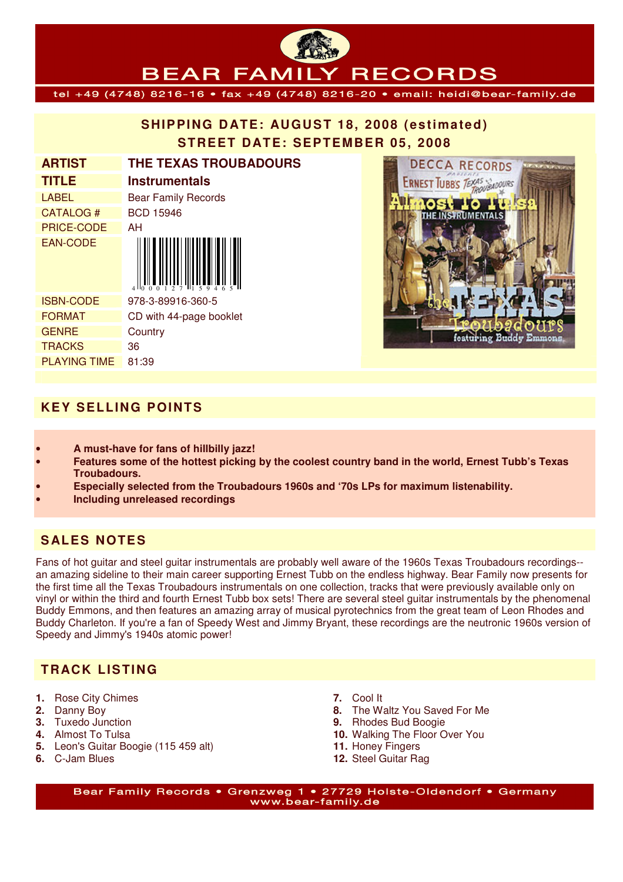# **SHIPPING DATE: AUGUST 18, 2008 (estimated) STREET DATE: SEPTEMBER 05, 2008**

**BEAR FAMILY RECORDS** tel +49 (4748) 8216-16 • fax +49 (4748) 8216-20 • email: heidi@bear-family.de

| <b>ARTIST</b>       | <b>THE TEXAS TROUBADOURS</b> |
|---------------------|------------------------------|
| <b>TITLE</b>        | Instrumentals                |
| <b>LABEL</b>        | <b>Bear Family Records</b>   |
| CATALOG#            | <b>BCD 15946</b>             |
| <b>PRICE-CODE</b>   | AΗ                           |
| <b>EAN-CODE</b>     |                              |
| <b>ISBN-CODE</b>    | 978-3-89916-360-5            |
| <b>FORMAT</b>       | CD with 44-page booklet      |
| <b>GENRE</b>        | Country                      |
| <b>TRACKS</b>       | 36                           |
| <b>PLAYING TIME</b> | 81:39                        |



### **KEY SELLING POINTS**

- **A must-have for fans of hillbilly jazz!**
- **Features some of the hottest picking by the coolest country band in the world, Ernest Tubb's Texas Troubadours.**
- **Especially selected from the Troubadours 1960s and '70s LPs for maximum listenability.**
- **Including unreleased recordings**

## **S ALES NOTES**

Fans of hot guitar and steel guitar instrumentals are probably well aware of the 1960s Texas Troubadours recordings- an amazing sideline to their main career supporting Ernest Tubb on the endless highway. Bear Family now presents for the first time all the Texas Troubadours instrumentals on one collection, tracks that were previously available only on vinyl or within the third and fourth Ernest Tubb box sets! There are several steel guitar instrumentals by the phenomenal Buddy Emmons, and then features an amazing array of musical pyrotechnics from the great team of Leon Rhodes and Buddy Charleton. If you're a fan of Speedy West and Jimmy Bryant, these recordings are the neutronic 1960s version of Speedy and Jimmy's 1940s atomic power!

## **TRACK LISTING**

- **1.** Rose City Chimes
- **2.** Danny Boy
- **3.** Tuxedo Junction
- **4.** Almost To Tulsa
- **5.** Leon's Guitar Boogie (115 459 alt)
- **6.** C-Jam Blues
- **7.** Cool It
- **8.** The Waltz You Saved For Me
- **9.** Rhodes Bud Boogie
- **10.** Walking The Floor Over You
- **11.** Honey Fingers
- **12.** Steel Guitar Rag

Bear Family Records . Grenzweg 1 . 27729 Holste-Oldendorf . Germany www.bear-family.de